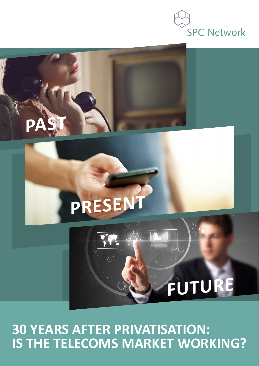# **SPC Network**

# **FUTURE**

# **PRESENT**

**PAST** 



**IS THE TELECOMS MARKET WORKING?**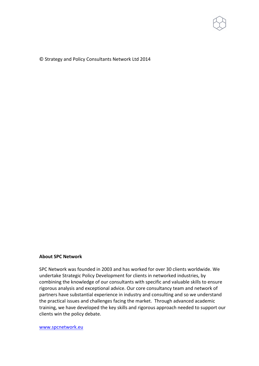

© Strategy and Policy Consultants Network Ltd 2014

### **About!SPC!Network**

SPC Network was founded in 2003 and has worked for over 30 clients worldwide. We undertake Strategic Policy Development for clients in networked industries, by combining the knowledge of our consultants with specific and valuable skills to ensure rigorous analysis and exceptional advice. Our core consultancy team and network of partners have substantial experience in industry and consulting and so we understand the practical issues and challenges facing the market. Through advanced academic training, we have developed the key skills and rigorous approach needed to support our clients win the policy debate.

www.spcnetwork.eu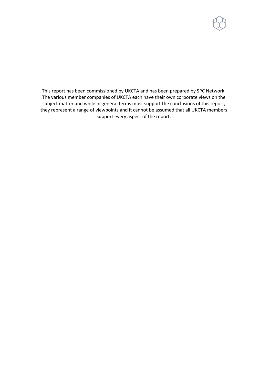

This report has been commissioned by UKCTA and has been prepared by SPC Network. The various member companies of UKCTA each have their own corporate views on the subject matter and while in general terms most support the conclusions of this report, they represent a range of viewpoints and it cannot be assumed that all UKCTA members support every aspect of the report.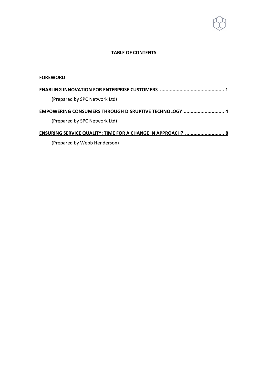### **TABLE OF CONTENTS**

### **FOREWORD**

| (Prepared by SPC Network Ltd)                                      |  |
|--------------------------------------------------------------------|--|
| EMPOWERING CONSUMERS THROUGH DISRUPTIVE TECHNOLOGY  4              |  |
| (Prepared by SPC Network Ltd)                                      |  |
| <b>ENSURING SERVICE QUALITY: TIME FOR A CHANGE IN APPROACH?  8</b> |  |
|                                                                    |  |

(Prepared by Webb Henderson)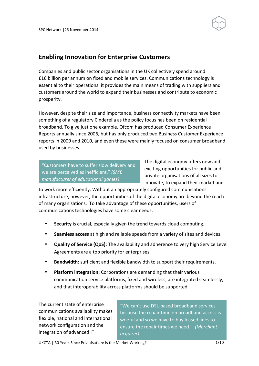

## **Enabling Innovation for Enterprise Customers**

Companies and public sector organisations in the UK collectively spend around £16 billion per annum on fixed and mobile services. Communications technology is essential to their operations: it provides the main means of trading with suppliers and customers around the world to expand their businesses and contribute to economic prosperity.

However, despite their size and importance, business connectivity markets have been something of a regulatory Cinderella as the policy focus has been on residential broadband. To give just one example, Ofcom has produced Consumer Experience Reports annually since 2006, but has only produced two Business Customer Experience reports in 2009 and 2010, and even these were mainly focused on consumer broadband used by businesses.

"Customers have to suffer slow delivery and we are perceived as inefficient." (SME *manufacturer\*of\*educational\*games)*

The digital economy offers new and exciting opportunities for public and private organisations of all sizes to innovate, to expand their market and

to work more efficiently. Without an appropriately configured communications infrastructure, however, the opportunities of the digital economy are beyond the reach of many organisations. To take advantage of these opportunities, users of communications technologies have some clear needs:

- Security is crucial, especially given the trend towards cloud computing.
- **Seamless access** at high and reliable speeds from a variety of sites and devices.
- **Quality of Service (QoS):** The availability and adherence to very high Service Level Agreements are a top priority for enterprises.
- **Bandwidth:** sufficient and flexible bandwidth to support their requirements.
- Platform integration: Corporations are demanding that their various communication service platforms, fixed and wireless, are integrated seamlessly, and that interoperability across platforms should be supported.

The current state of enterprise communications availability makes flexible, national and international network configuration and the integration of advanced IT

"We can't use DSL-based broadband services because the repair time on broadband access is woeful and so we have to buy leased lines to ensure the repair times we need." *(Merchant acquirer)*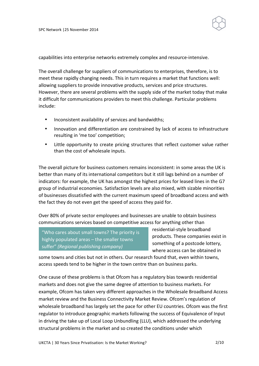SPC Network | 25 November 2014



capabilities into enterprise networks extremely complex and resource-intensive.

The overall challenge for suppliers of communications to enterprises, therefore, is to meet these rapidly changing needs. This in turn requires a market that functions well: allowing suppliers to provide innovative products, services and price structures. However, there are several problems with the supply side of the market today that make it difficult for communications providers to meet this challenge. Particular problems include:

- Inconsistent availability of services and bandwidths;
- Innovation and differentiation are constrained by lack of access to infrastructure resulting in 'me too' competition;
- Little opportunity to create pricing structures that reflect customer value rather than the cost of wholesale inputs.

The overall picture for business customers remains inconsistent: in some areas the UK is better than many of its international competitors but it still lags behind on a number of indicators: for example, the UK has amongst the highest prices for leased lines in the G7 group of industrial economies. Satisfaction levels are also mixed, with sizable minorities of businesses dissatisfied with the current maximum speed of broadband access and with the fact they do not even get the speed of access they paid for.

Over 80% of private sector employees and businesses are unable to obtain business communications services based on competitive access for anything other than

"Who cares about small towns? The priority is highly populated areas  $-$  the smaller towns suffer" (Regional publishing company)

residential-style broadband products. These companies exist in something of a postcode lottery, where access can be obtained in

some towns and cities but not in others. Our research found that, even within towns, access speeds tend to be higher in the town centre than on business parks.

One cause of these problems is that Ofcom has a regulatory bias towards residential markets and does not give the same degree of attention to business markets. For example, Ofcom has taken very different approaches in the Wholesale Broadband Access market review and the Business Connectivity Market Review. Ofcom's regulation of wholesale broadband has largely set the pace for other EU countries. Ofcom was the first regulator to introduce geographic markets following the success of Equivalence of Input in driving the take up of Local Loop Unbundling (LLU), which addressed the underlying structural problems in the market and so created the conditions under which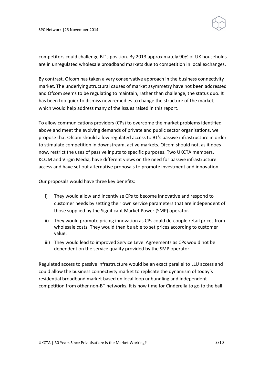SPC Network | 25 November 2014



competitors could challenge BT's position. By 2013 approximately 90% of UK households are in unregulated wholesale broadband markets due to competition in local exchanges.

By contrast, Ofcom has taken a very conservative approach in the business connectivity market. The underlying structural causes of market asymmetry have not been addressed and Ofcom seems to be regulating to maintain, rather than challenge, the status quo. It has been too quick to dismiss new remedies to change the structure of the market, which would help address many of the issues raised in this report.

To allow communications providers (CPs) to overcome the market problems identified above and meet the evolving demands of private and public sector organisations, we propose that Ofcom should allow regulated access to BT's passive infrastructure in order to stimulate competition in downstream, active markets. Ofcom should not, as it does now, restrict the uses of passive inputs to specific purposes. Two UKCTA members, KCOM and Virgin Media, have different views on the need for passive infrastructure access and have set out alternative proposals to promote investment and innovation.

Our proposals would have three key benefits:

- i) They would allow and incentivise CPs to become innovative and respond to customer needs by setting their own service parameters that are independent of those supplied by the Significant Market Power (SMP) operator.
- ii) They would promote pricing innovation as CPs could de-couple retail prices from wholesale costs. They would then be able to set prices according to customer value.
- iii) They would lead to improved Service Level Agreements as CPs would not be dependent on the service quality provided by the SMP operator.

Regulated access to passive infrastructure would be an exact parallel to LLU access and could allow the business connectivity market to replicate the dynamism of today's residential broadband market based on local loop unbundling and independent competition from other non-BT networks. It is now time for Cinderella to go to the ball.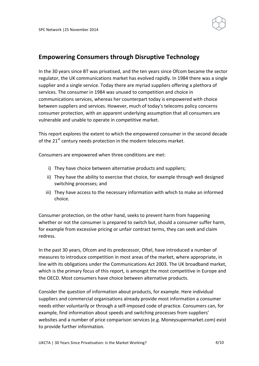

# **Empowering!Consumers!through!Disruptive Technology**

In the 30 years since BT was privatised, and the ten years since Ofcom became the sector regulator, the UK communications market has evolved rapidly. In 1984 there was a single supplier and a single service. Today there are myriad suppliers offering a plethora of services. The consumer in 1984 was unused to competition and choice in communications services, whereas her counterpart today is empowered with choice between suppliers and services. However, much of today's telecoms policy concerns consumer protection, with an apparent underlying assumption that all consumers are vulnerable and unable to operate in competitive market.

This report explores the extent to which the empowered consumer in the second decade of the  $21<sup>st</sup>$  century needs protection in the modern telecoms market.

Consumers are empowered when three conditions are met:

- i) They have choice between alternative products and suppliers;
- ii) They have the ability to exercise that choice, for example through well designed switching processes; and
- iii) They have access to the necessary information with which to make an informed choice.

Consumer protection, on the other hand, seeks to prevent harm from happening whether or not the consumer is prepared to switch but, should a consumer suffer harm, for example from excessive pricing or unfair contract terms, they can seek and claim redress.

In the past 30 years, Ofcom and its predecessor, Oftel, have introduced a number of measures to introduce competition in most areas of the market, where appropriate, in line with its obligations under the Communications Act 2003. The UK broadband market, which is the primary focus of this report, is amongst the most competitive in Europe and the OECD. Most consumers have choice between alternative products.

Consider the question of information about products, for example. Here individual suppliers and commercial organisations already provide most information a consumer needs either voluntarily or through a self-imposed code of practice. Consumers can, for example, find information about speeds and switching processes from suppliers' websites and a number of price comparison services (e.g. Moneysupermarket.com) exist to provide further information.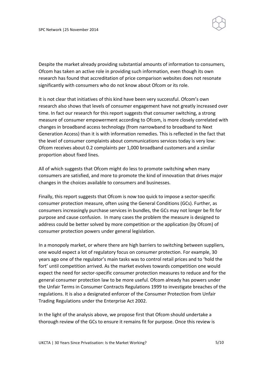

Despite the market already providing substantial amounts of information to consumers, Ofcom has taken an active role in providing such information, even though its own research has found that accreditation of price comparison websites does not resonate significantly with consumers who do not know about Ofcom or its role.

It is not clear that initiatives of this kind have been very successful. Ofcom's own research also shows that levels of consumer engagement have not greatly increased over time. In fact our research for this report suggests that consumer switching, a strong measure of consumer empowerment according to Ofcom, is more closely correlated with changes in broadband access technology (from narrowband to broadband to Next Generation Access) than it is with information remedies. This is reflected in the fact that the level of consumer complaints about communications services today is very low: Ofcom receives about 0.2 complaints per 1,000 broadband customers and a similar proportion about fixed lines.

All of which suggests that Ofcom might do less to promote switching when many consumers are satisfied, and more to promote the kind of innovation that drives major changes in the choices available to consumers and businesses.

Finally, this report suggests that Ofcom is now too quick to impose a sector-specific consumer protection measure, often using the General Conditions (GCs). Further, as consumers increasingly purchase services in bundles, the GCs may not longer be fit for purpose and cause confusion. In many cases the problem the measure is designed to address could be better solved by more competition or the application (by Ofcom) of consumer protection powers under general legislation.

In a monopoly market, or where there are high barriers to switching between suppliers, one would expect a lot of regulatory focus on consumer protection. For example, 30 years ago one of the regulator's main tasks was to control retail prices and to 'hold the fort' until competition arrived. As the market evolves towards competition one would expect the need for sector-specific consumer protection measures to reduce and for the general consumer protection law to be more useful. Ofcom already has powers under the Unfair Terms in Consumer Contracts Regulations 1999 to investigate breaches of the regulations. It is also a designated enforcer of the Consumer Protection from Unfair Trading Regulations under the Enterprise Act 2002.

In the light of the analysis above, we propose first that Ofcom should undertake a thorough review of the GCs to ensure it remains fit for purpose. Once this review is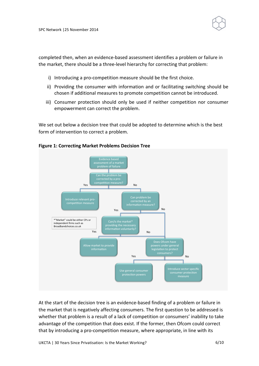

completed then, when an evidence-based assessment identifies a problem or failure in the market, there should be a three-level hierarchy for correcting that problem:

- i) Introducing a pro-competition measure should be the first choice.
- ii) Providing the consumer with information and or facilitating switching should be chosen if additional measures to promote competition cannot be introduced.
- iii) Consumer protection should only be used if neither competition nor consumer empowerment can correct the problem.

We set out below a decision tree that could be adopted to determine which is the best form of intervention to correct a problem.



### **Figure 1: Correcting Market Problems Decision Tree**

At the start of the decision tree is an evidence-based finding of a problem or failure in the market that is negatively affecting consumers. The first question to be addressed is whether that problem is a result of a lack of competition or consumers' inability to take advantage of the competition that does exist. If the former, then Ofcom could correct that by introducing a pro-competition measure, where appropriate, in line with its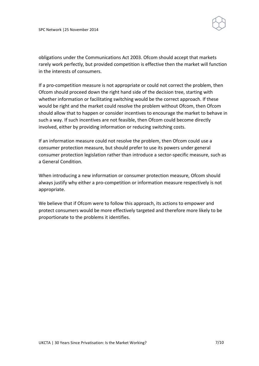

obligations under the Communications Act 2003. Ofcom should accept that markets rarely work perfectly, but provided competition is effective then the market will function in the interests of consumers.

If a pro-competition measure is not appropriate or could not correct the problem, then Ofcom should proceed down the right hand side of the decision tree, starting with whether information or facilitating switching would be the correct approach. If these would be right and the market could resolve the problem without Ofcom, then Ofcom should allow that to happen or consider incentives to encourage the market to behave in such a way. If such incentives are not feasible, then Ofcom could become directly involved, either by providing information or reducing switching costs.

If an information measure could not resolve the problem, then Ofcom could use a consumer protection measure, but should prefer to use its powers under general consumer protection legislation rather than introduce a sector-specific measure, such as a General Condition.

When introducing a new information or consumer protection measure, Ofcom should always justify why either a pro-competition or information measure respectively is not appropriate.

We believe that if Ofcom were to follow this approach, its actions to empower and protect consumers would be more effectively targeted and therefore more likely to be proportionate to the problems it identifies.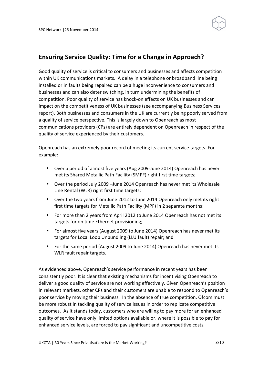

# **Ensuring Service Quality: Time for a Change in Approach?**

Good quality of service is critical to consumers and businesses and affects competition within UK communications markets. A delay in a telephone or broadband line being installed or in faults being repaired can be a huge inconvenience to consumers and businesses and can also deter switching, in turn undermining the benefits of competition. Poor quality of service has knock-on effects on UK businesses and can impact on the competitiveness of UK businesses (see accompanying Business Services report). Both businesses and consumers in the UK are currently being poorly served from a quality of service perspective. This is largely down to Openreach as most communications providers (CPs) are entirely dependent on Openreach in respect of the quality of service experienced by their customers.

Openreach has an extremely poor record of meeting its current service targets. For example:

- Over a period of almost five years (Aug 2009-June 2014) Openreach has never met its Shared Metallic Path Facility (SMPF) right first time targets;
- Over the period July 2009 –June 2014 Openreach has never met its Wholesale Line Rental (WLR) right first time targets;
- Over the two years from June 2012 to June 2014 Openreach only met its right first time targets for Metallic Path Facility (MPF) in 2 separate months;
- For more than 2 years from April 2012 to June 2014 Openreach has not met its targets for on time Ethernet provisioning;
- For almost five years (August 2009 to June 2014) Openreach has never met its targets for Local Loop Unbundling (LLU fault) repair; and
- For the same period (August 2009 to June 2014) Openreach has never met its WLR fault repair targets.

As evidenced above, Openreach's service performance in recent years has been consistently poor. It is clear that existing mechanisms for incentivising Openreach to deliver a good quality of service are not working effectively. Given Openreach's position in relevant markets, other CPs and their customers are unable to respond to Openreach's poor service by moving their business. In the absence of true competition, Ofcom must be more robust in tackling quality of service issues in order to replicate competitive outcomes. As it stands today, customers who are willing to pay more for an enhanced quality of service have only limited options available or, where it is possible to pay for enhanced service levels, are forced to pay significant and uncompetitive costs.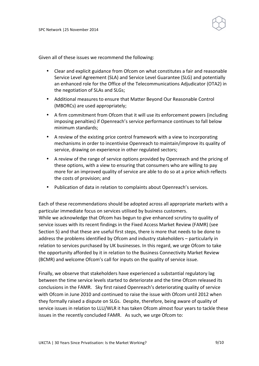

Given all of these issues we recommend the following:

- Clear and explicit guidance from Ofcom on what constitutes a fair and reasonable Service Level Agreement (SLA) and Service Level Guarantee (SLG) and potentially an enhanced role for the Office of the Telecommunications Adjudicator (OTA2) in the negotiation of SLAs and SLGs;
- Additional measures to ensure that Matter Beyond Our Reasonable Control (MBORCs) are used appropriately;
- A firm commitment from Ofcom that it will use its enforcement powers (including imposing penalties) if Openreach's service performance continues to fall below minimum standards;
- A review of the existing price control framework with a view to incorporating mechanisms in order to incentivise Openreach to maintain/improve its quality of service, drawing on experience in other regulated sectors;
- A review of the range of service options provided by Openreach and the pricing of these options, with a view to ensuring that consumers who are willing to pay more for an improved quality of service are able to do so at a price which reflects the costs of provision; and
- Publication of data in relation to complaints about Openreach's services.

Each of these recommendations should be adopted across all appropriate markets with a particular immediate focus on services utilised by business customers. While we acknowledge that Ofcom has begun to give enhanced scrutiny to quality of service issues with its recent findings in the Fixed Access Market Review (FAMR) (see Section 5) and that these are useful first steps, there is more that needs to be done to address the problems identified by Ofcom and industry stakeholders – particularly in relation to services purchased by UK businesses. In this regard, we urge Ofcom to take the opportunity afforded by it in relation to the Business Connectivity Market Review (BCMR) and welcome Ofcom's call for inputs on the quality of service issue.

Finally, we observe that stakeholders have experienced a substantial regulatory lag between the time service levels started to deteriorate and the time Ofcom released its conclusions in the FAMR. Sky first raised Openreach's deteriorating quality of service with Ofcom in June 2010 and continued to raise the issue with Ofcom until 2012 when they formally raised a dispute on SLGs. Despite, therefore, being aware of quality of service issues in relation to LLU/WLR it has taken Ofcom almost four years to tackle these issues in the recently concluded FAMR. As such, we urge Ofcom to: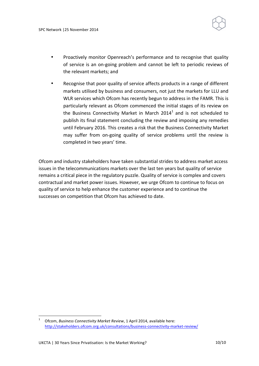

- Proactively monitor Openreach's performance and to recognise that quality of service is an on-going problem and cannot be left to periodic reviews of the relevant markets; and
- Recognise that poor quality of service affects products in a range of different markets utilised by business and consumers, not just the markets for LLU and WLR services which Ofcom has recently begun to address in the FAMR. This is particularly relevant as Ofcom commenced the initial stages of its review on the Business Connectivity Market in March  $2014<sup>1</sup>$  and is not scheduled to publish its final statement concluding the review and imposing any remedies until February 2016. This creates a risk that the Business Connectivity Market may suffer from on-going quality of service problems until the review is completed in two years' time.

Ofcom and industry stakeholders have taken substantial strides to address market access issues in the telecommunications markets over the last ten years but quality of service remains a critical piece in the regulatory puzzle. Quality of service is complex and covers contractual and market power issues. However, we urge Ofcom to continue to focus on quality of service to help enhance the customer experience and to continue the successes on competition that Ofcom has achieved to date.

Ofcom, Business Connectivity Market Review, 1 April 2014, available here: http://stakeholders.ofcom.org.uk/consultations/business-connectivity-market-review/